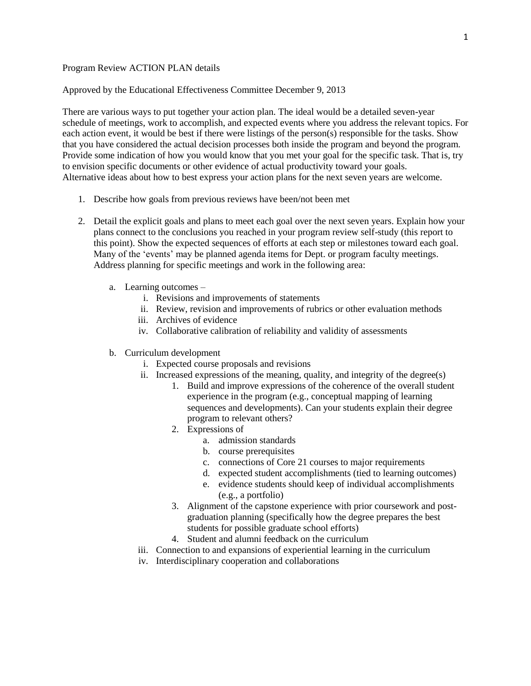## Program Review ACTION PLAN details

Approved by the Educational Effectiveness Committee December 9, 2013

There are various ways to put together your action plan. The ideal would be a detailed seven-year schedule of meetings, work to accomplish, and expected events where you address the relevant topics. For each action event, it would be best if there were listings of the person(s) responsible for the tasks. Show that you have considered the actual decision processes both inside the program and beyond the program. Provide some indication of how you would know that you met your goal for the specific task. That is, try to envision specific documents or other evidence of actual productivity toward your goals. Alternative ideas about how to best express your action plans for the next seven years are welcome.

- 1. Describe how goals from previous reviews have been/not been met
- 2. Detail the explicit goals and plans to meet each goal over the next seven years. Explain how your plans connect to the conclusions you reached in your program review self-study (this report to this point). Show the expected sequences of efforts at each step or milestones toward each goal. Many of the 'events' may be planned agenda items for Dept. or program faculty meetings. Address planning for specific meetings and work in the following area:
	- a. Learning outcomes
		- i. Revisions and improvements of statements
		- ii. Review, revision and improvements of rubrics or other evaluation methods
		- iii. Archives of evidence
		- iv. Collaborative calibration of reliability and validity of assessments
	- b. Curriculum development
		- i. Expected course proposals and revisions
		- ii. Increased expressions of the meaning, quality, and integrity of the degree(s)
			- 1. Build and improve expressions of the coherence of the overall student experience in the program (e.g., conceptual mapping of learning sequences and developments). Can your students explain their degree program to relevant others?
			- 2. Expressions of
				- a. admission standards
				- b. course prerequisites
				- c. connections of Core 21 courses to major requirements
				- d. expected student accomplishments (tied to learning outcomes)
				- e. evidence students should keep of individual accomplishments (e.g., a portfolio)
			- 3. Alignment of the capstone experience with prior coursework and postgraduation planning (specifically how the degree prepares the best students for possible graduate school efforts)
			- 4. Student and alumni feedback on the curriculum
		- iii. Connection to and expansions of experiential learning in the curriculum
		- iv. Interdisciplinary cooperation and collaborations